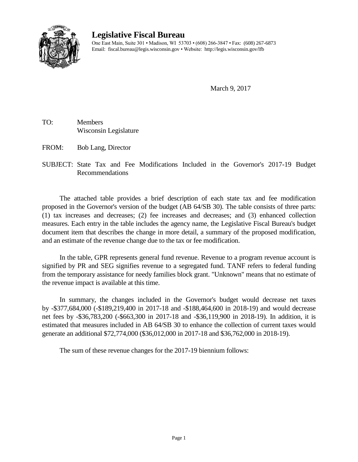

## **Legislative Fiscal Bureau**

One East Main, Suite 301 • Madison, WI 53703 • (608) 266-3847 • Fax: (608) 267-6873 Email: fiscal.bureau@legis.wisconsin.gov • Website: <http://legis.wisconsin.gov/lfb>

March 9, 2017

TO: Members Wisconsin Legislature

FROM: Bob Lang, Director

SUBJECT: State Tax and Fee Modifications Included in the Governor's 2017-19 Budget Recommendations

The attached table provides a brief description of each state tax and fee modification proposed in the Governor's version of the budget (AB 64/SB 30). The table consists of three parts: (1) tax increases and decreases; (2) fee increases and decreases; and (3) enhanced collection measures. Each entry in the table includes the agency name, the Legislative Fiscal Bureau's budget document item that describes the change in more detail, a summary of the proposed modification, and an estimate of the revenue change due to the tax or fee modification.

In the table, GPR represents general fund revenue. Revenue to a program revenue account is signified by PR and SEG signifies revenue to a segregated fund. TANF refers to federal funding from the temporary assistance for needy families block grant. "Unknown" means that no estimate of the revenue impact is available at this time.

In summary, the changes included in the Governor's budget would decrease net taxes by -\$377,684,000 (-\$189,219,400 in 2017-18 and -\$188,464,600 in 2018-19) and would decrease net fees by -\$36,783,200 (-\$663,300 in 2017-18 and -\$36,119,900 in 2018-19). In addition, it is estimated that measures included in AB 64/SB 30 to enhance the collection of current taxes would generate an additional \$72,774,000 (\$36,012,000 in 2017-18 and \$36,762,000 in 2018-19).

The sum of these revenue changes for the 2017-19 biennium follows: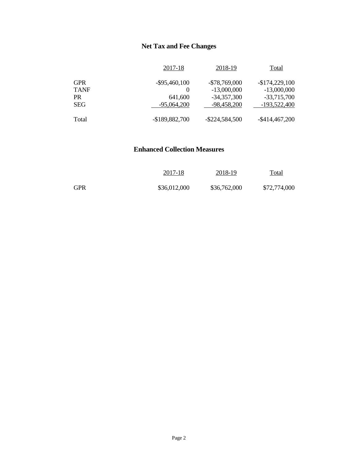## **Net Tax and Fee Changes**

|             | 2017-18          | 2018-19           | Total             |
|-------------|------------------|-------------------|-------------------|
| <b>GPR</b>  | $-$ \$95,460,100 | $-$78,769,000$    | $-$174,229,100$   |
| <b>TANF</b> | $\theta$         | $-13,000,000$     | $-13,000,000$     |
| PR          | 641,600          | $-34,357,300$     | $-33,715,700$     |
| <b>SEG</b>  | $-95,064,200$    | $-98,458,200$     | $-193,522,400$    |
| Total       | -\$189,882,700   | $-$ \$224,584,500 | $-$ \$414,467,200 |

## **Enhanced Collection Measures**

|            | 2017-18      | 2018-19      | <u>Total</u> |
|------------|--------------|--------------|--------------|
| <b>GPR</b> | \$36,012,000 | \$36,762,000 | \$72,774,000 |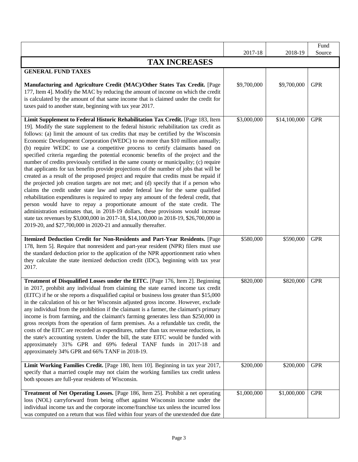|                                                                                                                                                                                                                                                                                                                                                                                                                                                                                                                                                                                                                                                                                                                                                                                                                                                                                                                                                                                                                                                                                                                                                                                                                                                                                                                                                                                                            |             |              | Fund       |
|------------------------------------------------------------------------------------------------------------------------------------------------------------------------------------------------------------------------------------------------------------------------------------------------------------------------------------------------------------------------------------------------------------------------------------------------------------------------------------------------------------------------------------------------------------------------------------------------------------------------------------------------------------------------------------------------------------------------------------------------------------------------------------------------------------------------------------------------------------------------------------------------------------------------------------------------------------------------------------------------------------------------------------------------------------------------------------------------------------------------------------------------------------------------------------------------------------------------------------------------------------------------------------------------------------------------------------------------------------------------------------------------------------|-------------|--------------|------------|
|                                                                                                                                                                                                                                                                                                                                                                                                                                                                                                                                                                                                                                                                                                                                                                                                                                                                                                                                                                                                                                                                                                                                                                                                                                                                                                                                                                                                            | 2017-18     | 2018-19      | Source     |
| <b>TAX INCREASES</b>                                                                                                                                                                                                                                                                                                                                                                                                                                                                                                                                                                                                                                                                                                                                                                                                                                                                                                                                                                                                                                                                                                                                                                                                                                                                                                                                                                                       |             |              |            |
| <b>GENERAL FUND TAXES</b>                                                                                                                                                                                                                                                                                                                                                                                                                                                                                                                                                                                                                                                                                                                                                                                                                                                                                                                                                                                                                                                                                                                                                                                                                                                                                                                                                                                  |             |              |            |
| Manufacturing and Agriculture Credit (MAC)/Other States Tax Credit. [Page<br>177, Item 4]. Modify the MAC by reducing the amount of income on which the credit<br>is calculated by the amount of that same income that is claimed under the credit for<br>taxes paid to another state, beginning with tax year 2017.                                                                                                                                                                                                                                                                                                                                                                                                                                                                                                                                                                                                                                                                                                                                                                                                                                                                                                                                                                                                                                                                                       | \$9,700,000 | \$9,700,000  | <b>GPR</b> |
| Limit Supplement to Federal Historic Rehabilitation Tax Credit. [Page 183, Item<br>19]. Modify the state supplement to the federal historic rehabilitation tax credit as<br>follows: (a) limit the amount of tax credits that may be certified by the Wisconsin<br>Economic Development Corporation (WEDC) to no more than \$10 million annually;<br>(b) require WEDC to use a competitive process to certify claimants based on<br>specified criteria regarding the potential economic benefits of the project and the<br>number of credits previously certified in the same county or municipality; (c) require<br>that applicants for tax benefits provide projections of the number of jobs that will be<br>created as a result of the proposed project and require that credits must be repaid if<br>the projected job creation targets are not met; and (d) specify that if a person who<br>claims the credit under state law and under federal law for the same qualified<br>rehabilitation expenditures is required to repay any amount of the federal credit, that<br>person would have to repay a proportionate amount of the state credit. The<br>administration estimates that, in 2018-19 dollars, these provisions would increase<br>state tax revenues by \$3,000,000 in 2017-18, \$14,100,000 in 2018-19, \$26,700,000 in<br>2019-20, and \$27,700,000 in 2020-21 and annually thereafter. | \$3,000,000 | \$14,100,000 | <b>GPR</b> |
| Itemized Deduction Credit for Non-Residents and Part-Year Residents. [Page<br>178, Item 5]. Require that nonresident and part-year resident (NPR) filers must use<br>the standard deduction prior to the application of the NPR apportionment ratio when<br>they calculate the state itemized deduction credit (IDC), beginning with tax year<br>2017.                                                                                                                                                                                                                                                                                                                                                                                                                                                                                                                                                                                                                                                                                                                                                                                                                                                                                                                                                                                                                                                     | \$580,000   | \$590,000    | <b>GPR</b> |
| Treatment of Disqualified Losses under the EITC. [Page 176, Item 2]. Beginning<br>in 2017, prohibit any individual from claiming the state earned income tax credit<br>(EITC) if he or she reports a disqualified capital or business loss greater than \$15,000<br>in the calculation of his or her Wisconsin adjusted gross income. However, exclude<br>any individual from the prohibition if the claimant is a farmer, the claimant's primary<br>income is from farming, and the claimant's farming generates less than \$250,000 in<br>gross receipts from the operation of farm premises. As a refundable tax credit, the<br>costs of the EITC are recorded as expenditures, rather than tax revenue reductions, in<br>the state's accounting system. Under the bill, the state EITC would be funded with<br>approximately 31% GPR and 69% federal TANF funds in 2017-18 and<br>approximately 34% GPR and 66% TANF in 2018-19.                                                                                                                                                                                                                                                                                                                                                                                                                                                                       | \$820,000   | \$820,000    | <b>GPR</b> |
| Limit Working Families Credit. [Page 180, Item 10]. Beginning in tax year 2017,<br>specify that a married couple may not claim the working families tax credit unless<br>both spouses are full-year residents of Wisconsin.                                                                                                                                                                                                                                                                                                                                                                                                                                                                                                                                                                                                                                                                                                                                                                                                                                                                                                                                                                                                                                                                                                                                                                                | \$200,000   | \$200,000    | <b>GPR</b> |
| Treatment of Net Operating Losses. [Page 186, Item 25]. Prohibit a net operating<br>loss (NOL) carryforward from being offset against Wisconsin income under the<br>individual income tax and the corporate income/franchise tax unless the incurred loss<br>was computed on a return that was filed within four years of the unextended due date                                                                                                                                                                                                                                                                                                                                                                                                                                                                                                                                                                                                                                                                                                                                                                                                                                                                                                                                                                                                                                                          | \$1,000,000 | \$1,000,000  | <b>GPR</b> |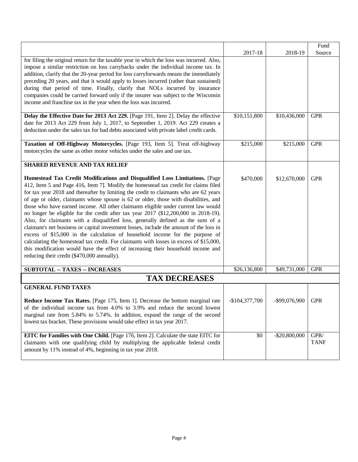|                                                                                                                                                                                                                                                                                                                                                                                                                                                                                                                                                                                                                                                                                                                                                                                                                                                                                                                                                                                                                             |                 |                  | Fund                        |
|-----------------------------------------------------------------------------------------------------------------------------------------------------------------------------------------------------------------------------------------------------------------------------------------------------------------------------------------------------------------------------------------------------------------------------------------------------------------------------------------------------------------------------------------------------------------------------------------------------------------------------------------------------------------------------------------------------------------------------------------------------------------------------------------------------------------------------------------------------------------------------------------------------------------------------------------------------------------------------------------------------------------------------|-----------------|------------------|-----------------------------|
|                                                                                                                                                                                                                                                                                                                                                                                                                                                                                                                                                                                                                                                                                                                                                                                                                                                                                                                                                                                                                             | 2017-18         | 2018-19          | Source                      |
| for filing the original return for the taxable year in which the loss was incurred. Also,<br>impose a similar restriction on loss carrybacks under the individual income tax. In<br>addition, clarify that the 20-year period for loss carryforwards means the immediately<br>preceding 20 years, and that it would apply to losses incurred (rather than sustained)<br>during that period of time. Finally, clarify that NOLs incurred by insurance<br>companies could be carried forward only if the insurer was subject to the Wisconsin<br>income and franchise tax in the year when the loss was incurred.                                                                                                                                                                                                                                                                                                                                                                                                             |                 |                  |                             |
| Delay the Effective Date for 2013 Act 229. [Page 191, Item 2]. Delay the effective                                                                                                                                                                                                                                                                                                                                                                                                                                                                                                                                                                                                                                                                                                                                                                                                                                                                                                                                          | \$10,151,800    | \$10,436,000     | <b>GPR</b>                  |
| date for 2013 Act 229 from July 1, 2017, to September 1, 2019. Act 229 creates a<br>deduction under the sales tax for bad debts associated with private label credit cards.                                                                                                                                                                                                                                                                                                                                                                                                                                                                                                                                                                                                                                                                                                                                                                                                                                                 |                 |                  |                             |
| Taxation of Off-Highway Motorcycles. [Page 193, Item 5]. Treat off-highway<br>motorcycles the same as other motor vehicles under the sales and use tax.                                                                                                                                                                                                                                                                                                                                                                                                                                                                                                                                                                                                                                                                                                                                                                                                                                                                     | \$215,000       | \$215,000        | <b>GPR</b>                  |
| <b>SHARED REVENUE AND TAX RELIEF</b>                                                                                                                                                                                                                                                                                                                                                                                                                                                                                                                                                                                                                                                                                                                                                                                                                                                                                                                                                                                        |                 |                  |                             |
| Homestead Tax Credit Modifications and Disqualified Loss Limitations. [Page<br>412, Item 5 and Page 416, Item 7]. Modify the homestead tax credit for claims filed<br>for tax year 2018 and thereafter by limiting the credit to claimants who are 62 years<br>of age or older, claimants whose spouse is 62 or older, those with disabilities, and<br>those who have earned income. All other claimants eligible under current law would<br>no longer be eligible for the credit after tax year 2017 (\$12,200,000 in 2018-19).<br>Also, for claimants with a disqualified loss, generally defined as the sum of a<br>claimant's net business or capital investment losses, include the amount of the loss in<br>excess of \$15,000 in the calculation of household income for the purpose of<br>calculating the homestead tax credit. For claimants with losses in excess of \$15,000,<br>this modification would have the effect of increasing their household income and<br>reducing their credit (\$470,000 annually). | \$470,000       | \$12,670,000     | <b>GPR</b>                  |
| <b>SUBTOTAL -- TAXES -- INCREASES</b>                                                                                                                                                                                                                                                                                                                                                                                                                                                                                                                                                                                                                                                                                                                                                                                                                                                                                                                                                                                       | \$26,136,800    | \$49,731,000     | <b>GPR</b>                  |
| <b>TAX DECREASES</b>                                                                                                                                                                                                                                                                                                                                                                                                                                                                                                                                                                                                                                                                                                                                                                                                                                                                                                                                                                                                        |                 |                  |                             |
| <b>GENERAL FUND TAXES</b>                                                                                                                                                                                                                                                                                                                                                                                                                                                                                                                                                                                                                                                                                                                                                                                                                                                                                                                                                                                                   |                 |                  |                             |
| Reduce Income Tax Rates. [Page 175, Item 1]. Decrease the bottom marginal rate<br>of the individual income tax from 4.0% to 3.9% and reduce the second lowest<br>marginal rate from 5.84% to 5.74%. In addition, expand the range of the second<br>lowest tax bracket. These provisions would take effect in tax year 2017.                                                                                                                                                                                                                                                                                                                                                                                                                                                                                                                                                                                                                                                                                                 | $-$104,377,700$ | -\$99,076,900    | <b>GPR</b>                  |
| EITC for Families with One Child. [Page 176, Item 2]. Calculate the state EITC for<br>claimants with one qualifying child by multiplying the applicable federal credit<br>amount by 11% instead of 4%, beginning in tax year 2018.                                                                                                                                                                                                                                                                                                                                                                                                                                                                                                                                                                                                                                                                                                                                                                                          | \$0             | $-$ \$20,800,000 | ${\rm GPR}/$<br><b>TANF</b> |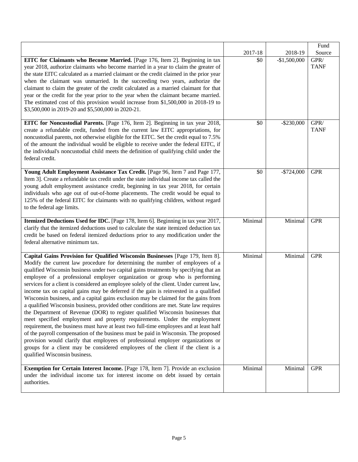|                                                                                                                                                                                                                                                                                                                                                                                                                                                                                                                                                                                                                                                                                                                                                                                                                                                                                                                                                                                                                                                                                                                                                                                                                                                                       |         |               | Fund                |
|-----------------------------------------------------------------------------------------------------------------------------------------------------------------------------------------------------------------------------------------------------------------------------------------------------------------------------------------------------------------------------------------------------------------------------------------------------------------------------------------------------------------------------------------------------------------------------------------------------------------------------------------------------------------------------------------------------------------------------------------------------------------------------------------------------------------------------------------------------------------------------------------------------------------------------------------------------------------------------------------------------------------------------------------------------------------------------------------------------------------------------------------------------------------------------------------------------------------------------------------------------------------------|---------|---------------|---------------------|
|                                                                                                                                                                                                                                                                                                                                                                                                                                                                                                                                                                                                                                                                                                                                                                                                                                                                                                                                                                                                                                                                                                                                                                                                                                                                       | 2017-18 | 2018-19       | Source              |
| EITC for Claimants who Become Married. [Page 176, Item 2]. Beginning in tax<br>year 2018, authorize claimants who become married in a year to claim the greater of<br>the state EITC calculated as a married claimant or the credit claimed in the prior year<br>when the claimant was unmarried. In the succeeding two years, authorize the<br>claimant to claim the greater of the credit calculated as a married claimant for that<br>year or the credit for the year prior to the year when the claimant became married.<br>The estimated cost of this provision would increase from \$1,500,000 in 2018-19 to<br>\$3,500,000 in 2019-20 and \$5,500,000 in 2020-21.                                                                                                                                                                                                                                                                                                                                                                                                                                                                                                                                                                                              | \$0     | $-$1,500,000$ | GPR/<br><b>TANF</b> |
| EITC for Noncustodial Parents. [Page 176, Item 2]. Beginning in tax year 2018,<br>create a refundable credit, funded from the current law EITC appropriations, for<br>noncustodial parents, not otherwise eligible for the EITC. Set the credit equal to 7.5%<br>of the amount the individual would be eligible to receive under the federal EITC, if<br>the individual's noncustodial child meets the definition of qualifying child under the<br>federal credit.                                                                                                                                                                                                                                                                                                                                                                                                                                                                                                                                                                                                                                                                                                                                                                                                    | \$0     | $-$ \$230,000 | GPR/<br><b>TANF</b> |
| Young Adult Employment Assistance Tax Credit. [Page 96, Item 7 and Page 177,<br>Item 3]. Create a refundable tax credit under the state individual income tax called the<br>young adult employment assistance credit, beginning in tax year 2018, for certain<br>individuals who age out of out-of-home placements. The credit would be equal to<br>125% of the federal EITC for claimants with no qualifying children, without regard<br>to the federal age limits.                                                                                                                                                                                                                                                                                                                                                                                                                                                                                                                                                                                                                                                                                                                                                                                                  | \$0     | $-$724,000$   | <b>GPR</b>          |
| Itemized Deductions Used for IDC. [Page 178, Item 6]. Beginning in tax year 2017,<br>clarify that the itemized deductions used to calculate the state itemized deduction tax<br>credit be based on federal itemized deductions prior to any modification under the<br>federal alternative minimum tax.                                                                                                                                                                                                                                                                                                                                                                                                                                                                                                                                                                                                                                                                                                                                                                                                                                                                                                                                                                | Minimal | Minimal       | <b>GPR</b>          |
| Capital Gains Provision for Qualified Wisconsin Businesses [Page 179, Item 8].<br>Modify the current law procedure for determining the number of employees of a<br>qualified Wisconsin business under two capital gains treatments by specifying that an<br>employee of a professional employer organization or group who is performing<br>services for a client is considered an employee solely of the client. Under current law,<br>income tax on capital gains may be deferred if the gain is reinvested in a qualified<br>Wisconsin business, and a capital gains exclusion may be claimed for the gains from<br>a qualified Wisconsin business, provided other conditions are met. State law requires<br>the Department of Revenue (DOR) to register qualified Wisconsin businesses that<br>meet specified employment and property requirements. Under the employment<br>requirement, the business must have at least two full-time employees and at least half<br>of the payroll compensation of the business must be paid in Wisconsin. The proposed<br>provision would clarify that employees of professional employer organizations or<br>groups for a client may be considered employees of the client if the client is a<br>qualified Wisconsin business. | Minimal | Minimal       | <b>GPR</b>          |
| Exemption for Certain Interest Income. [Page 178, Item 7]. Provide an exclusion<br>under the individual income tax for interest income on debt issued by certain<br>authorities.                                                                                                                                                                                                                                                                                                                                                                                                                                                                                                                                                                                                                                                                                                                                                                                                                                                                                                                                                                                                                                                                                      | Minimal | Minimal       | <b>GPR</b>          |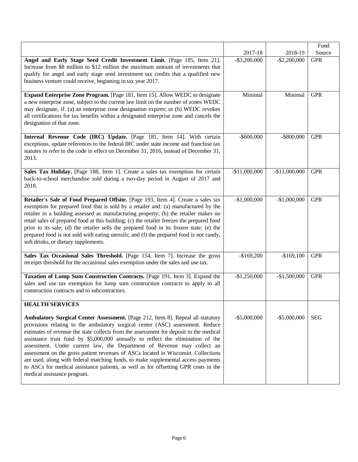|                                                                                                                                                                                                                                                                                                                                                                                                                                                                                                                                                                                                                                                                                                                            |                 |                 | Fund       |
|----------------------------------------------------------------------------------------------------------------------------------------------------------------------------------------------------------------------------------------------------------------------------------------------------------------------------------------------------------------------------------------------------------------------------------------------------------------------------------------------------------------------------------------------------------------------------------------------------------------------------------------------------------------------------------------------------------------------------|-----------------|-----------------|------------|
|                                                                                                                                                                                                                                                                                                                                                                                                                                                                                                                                                                                                                                                                                                                            | 2017-18         | 2018-19         | Source     |
| Angel and Early Stage Seed Credit Investment Limit. [Page 185, Item 21].<br>Increase from \$8 million to \$12 million the maximum amount of investments that<br>qualify for angel and early stage seed investment tax credits that a qualified new<br>business venture could receive, beginning in tax year 2017.                                                                                                                                                                                                                                                                                                                                                                                                          | $-$ \$3,200,000 | $-$ \$2,200,000 | <b>GPR</b> |
| Expand Enterprise Zone Program. [Page 181, Item 15]. Allow WEDC to designate<br>a new enterprise zone, subject to the current law limit on the number of zones WEDC<br>may designate, if: (a) an enterprise zone designation expires; or (b) WEDC revokes<br>all certifications for tax benefits within a designated enterprise zone and cancels the<br>designation of that zone.                                                                                                                                                                                                                                                                                                                                          | Minimal         | Minimal         | <b>GPR</b> |
| Internal Revenue Code (IRC) Update. [Page 181, Item 14]. With certain<br>exceptions, update references to the federal IRC under state income and franchise tax<br>statutes to refer to the code in effect on December 31, 2016, instead of December 31,<br>2013.                                                                                                                                                                                                                                                                                                                                                                                                                                                           | $-$ \$600,000   | $-$ \$800,000   | <b>GPR</b> |
| Sales Tax Holiday. [Page 188, Item 1]. Create a sales tax exemption for certain<br>back-to-school merchandise sold during a two-day period in August of 2017 and<br>2018.                                                                                                                                                                                                                                                                                                                                                                                                                                                                                                                                                  | $-$11,000,000$  | $-$11,000,000$  | <b>GPR</b> |
| Retailer's Sale of Food Prepared Offsite. [Page 193, Item 4]. Create a sales tax<br>exemption for prepared food that is sold by a retailer and: (a) manufactured by the<br>retailer in a building assessed as manufacturing property; (b) the retailer makes no<br>retail sales of prepared food at this building; (c) the retailer freezes the prepared food<br>prior to its sale; (d) the retailer sells the prepared food in its frozen state; (e) the<br>prepared food is not sold with eating utensils; and (f) the prepared food is not candy,<br>soft drinks, or dietary supplements.                                                                                                                               | $-$1,000,000$   | $-$1,000,000$   | <b>GPR</b> |
| Sales Tax Occasional Sales Threshold. [Page 154, Item 7]. Increase the gross<br>receipts threshold for the occasional sales exemption under the sales and use tax.                                                                                                                                                                                                                                                                                                                                                                                                                                                                                                                                                         | $-$169,200$     | $-$169,100$     | <b>GPR</b> |
| Taxation of Lump Sum Construction Contracts. [Page 191, Item 3]. Expand the<br>sales and use tax exemption for lump sum construction contracts to apply to all<br>construction contracts and to subcontractors.                                                                                                                                                                                                                                                                                                                                                                                                                                                                                                            | $-$1,250,000$   | $-$1,500,000$   | <b>GPR</b> |
| <b>HEALTH SERVICES</b>                                                                                                                                                                                                                                                                                                                                                                                                                                                                                                                                                                                                                                                                                                     |                 |                 |            |
| Ambulatory Surgical Center Assessment. [Page 212, Item 8]. Repeal all statutory<br>provisions relating to the ambulatory surgical center (ASC) assessment. Reduce<br>estimates of revenue the state collects from the assessment for deposit to the medical<br>assistance trust fund by \$5,000,000 annually to reflect the elimination of the<br>assessment. Under current law, the Department of Revenue may collect an<br>assessment on the gross patient revenues of ASCs located in Wisconsin. Collections<br>are used, along with federal matching funds, to make supplemental access payments<br>to ASCs for medical assistance patients, as well as for offsetting GPR costs in the<br>medical assistance program. | $-$ \$5,000,000 | $-$ \$5,000,000 | <b>SEG</b> |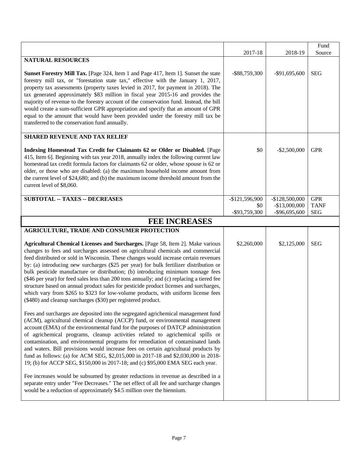|                                                                                                                                                                                                                                                                                                                                                                                                                                                                                                                                                                                                                                                                                                                                                                                                                                                                                                                                                      |                  |                  | Fund        |
|------------------------------------------------------------------------------------------------------------------------------------------------------------------------------------------------------------------------------------------------------------------------------------------------------------------------------------------------------------------------------------------------------------------------------------------------------------------------------------------------------------------------------------------------------------------------------------------------------------------------------------------------------------------------------------------------------------------------------------------------------------------------------------------------------------------------------------------------------------------------------------------------------------------------------------------------------|------------------|------------------|-------------|
|                                                                                                                                                                                                                                                                                                                                                                                                                                                                                                                                                                                                                                                                                                                                                                                                                                                                                                                                                      | 2017-18          | 2018-19          | Source      |
| <b>NATURAL RESOURCES</b>                                                                                                                                                                                                                                                                                                                                                                                                                                                                                                                                                                                                                                                                                                                                                                                                                                                                                                                             |                  |                  |             |
| Sunset Forestry Mill Tax. [Page 324, Item 1 and Page 417, Item 1]. Sunset the state<br>forestry mill tax, or "forestation state tax," effective with the January 1, 2017,<br>property tax assessments (property taxes levied in 2017, for payment in 2018). The<br>tax generated approximately \$83 million in fiscal year 2015-16 and provides the<br>majority of revenue to the forestry account of the conservation fund. Instead, the bill<br>would create a sum-sufficient GPR appropriation and specify that an amount of GPR<br>equal to the amount that would have been provided under the forestry mill tax be<br>transferred to the conservation fund annually.                                                                                                                                                                                                                                                                            | $-$ \$88,759,300 | $-$ \$91,695,600 | <b>SEG</b>  |
| <b>SHARED REVENUE AND TAX RELIEF</b>                                                                                                                                                                                                                                                                                                                                                                                                                                                                                                                                                                                                                                                                                                                                                                                                                                                                                                                 |                  |                  |             |
| Indexing Homestead Tax Credit for Claimants 62 or Older or Disabled. [Page<br>415, Item 6]. Beginning with tax year 2018, annually index the following current law<br>homestead tax credit formula factors for claimants 62 or older, whose spouse is 62 or<br>older, or those who are disabled: (a) the maximum household income amount from<br>the current level of \$24,680; and (b) the maximum income threshold amount from the<br>current level of \$8,060.                                                                                                                                                                                                                                                                                                                                                                                                                                                                                    | \$0              | $-$ \$2,500,000  | <b>GPR</b>  |
| <b>SUBTOTAL -- TAXES -- DECREASES</b>                                                                                                                                                                                                                                                                                                                                                                                                                                                                                                                                                                                                                                                                                                                                                                                                                                                                                                                | $-$121,596,900$  | $-$128,500,000$  | <b>GPR</b>  |
|                                                                                                                                                                                                                                                                                                                                                                                                                                                                                                                                                                                                                                                                                                                                                                                                                                                                                                                                                      | \$0              | $-$13,000,000$   | <b>TANF</b> |
|                                                                                                                                                                                                                                                                                                                                                                                                                                                                                                                                                                                                                                                                                                                                                                                                                                                                                                                                                      | -\$93,759,300    | $-$ \$96,695,600 | <b>SEG</b>  |
| <b>FEE INCREASES</b>                                                                                                                                                                                                                                                                                                                                                                                                                                                                                                                                                                                                                                                                                                                                                                                                                                                                                                                                 |                  |                  |             |
| AGRICULTURE, TRADE AND CONSUMER PROTECTION                                                                                                                                                                                                                                                                                                                                                                                                                                                                                                                                                                                                                                                                                                                                                                                                                                                                                                           |                  |                  |             |
| Agricultural Chemical Licenses and Surcharges. [Page 58, Item 2]. Make various<br>changes to fees and surcharges assessed on agricultural chemicals and commercial<br>feed distributed or sold in Wisconsin. These changes would increase certain revenues<br>by: (a) introducing new surcharges (\$25 per year) for bulk fertilizer distribution or<br>bulk pesticide manufacture or distribution; (b) introducing minimum tonnage fees<br>(\$46 per year) for feed sales less than 200 tons annually; and (c) replacing a tiered fee<br>structure based on annual product sales for pesticide product licenses and surcharges,<br>which vary from \$265 to \$323 for low-volume products, with uniform license fees<br>(\$480) and cleanup surcharges (\$30) per registered product.                                                                                                                                                               | \$2,260,000      | \$2,125,000      | <b>SEG</b>  |
| Fees and surcharges are deposited into the segregated agrichemical management fund<br>(ACM), agricultural chemical cleanup (ACCP) fund, or environmental management<br>account (EMA) of the environmental fund for the purposes of DATCP administration<br>of agrichemical programs, cleanup activities related to agrichemical spills or<br>contamination, and environmental programs for remediation of contaminated lands<br>and waters. Bill provisions would increase fees on certain agricultural products by<br>fund as follows: (a) for ACM SEG, \$2,015,000 in 2017-18 and \$2,030,000 in 2018-<br>19; (b) for ACCP SEG, \$150,000 in 2017-18; and (c) \$95,000 EMA SEG each year.<br>Fee increases would be subsumed by greater reductions in revenue as described in a<br>separate entry under "Fee Decreases." The net effect of all fee and surcharge changes<br>would be a reduction of approximately \$4.5 million over the biennium. |                  |                  |             |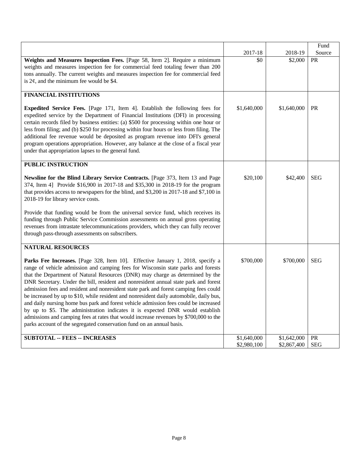|                                                                                                                                                                                                                                                                                                                                                                                                                                                                                                                                                                                                                                                                                                                                                                                                                                                                             |                            |                            | Fund       |
|-----------------------------------------------------------------------------------------------------------------------------------------------------------------------------------------------------------------------------------------------------------------------------------------------------------------------------------------------------------------------------------------------------------------------------------------------------------------------------------------------------------------------------------------------------------------------------------------------------------------------------------------------------------------------------------------------------------------------------------------------------------------------------------------------------------------------------------------------------------------------------|----------------------------|----------------------------|------------|
|                                                                                                                                                                                                                                                                                                                                                                                                                                                                                                                                                                                                                                                                                                                                                                                                                                                                             | 2017-18                    | 2018-19                    | Source     |
| Weights and Measures Inspection Fees. [Page 58, Item 2]. Require a minimum<br>weights and measures inspection fee for commercial feed totaling fewer than 200<br>tons annually. The current weights and measures inspection fee for commercial feed<br>is $2\phi$ , and the minimum fee would be \$4.                                                                                                                                                                                                                                                                                                                                                                                                                                                                                                                                                                       | \$0                        | \$2,000                    | <b>PR</b>  |
| <b>FINANCIAL INSTITUTIONS</b>                                                                                                                                                                                                                                                                                                                                                                                                                                                                                                                                                                                                                                                                                                                                                                                                                                               |                            |                            |            |
| <b>Expedited Service Fees.</b> [Page 171, Item 4]. Establish the following fees for<br>expedited service by the Department of Financial Institutions (DFI) in processing<br>certain records filed by business entities: (a) \$500 for processing within one hour or<br>less from filing; and (b) \$250 for processing within four hours or less from filing. The<br>additional fee revenue would be deposited as program revenue into DFI's general<br>program operations appropriation. However, any balance at the close of a fiscal year<br>under that appropriation lapses to the general fund.                                                                                                                                                                                                                                                                         | \$1,640,000                | \$1,640,000                | <b>PR</b>  |
| <b>PUBLIC INSTRUCTION</b>                                                                                                                                                                                                                                                                                                                                                                                                                                                                                                                                                                                                                                                                                                                                                                                                                                                   |                            |                            |            |
| Newsline for the Blind Library Service Contracts. [Page 373, Item 13 and Page<br>374, Item 4] Provide \$16,900 in 2017-18 and \$35,300 in 2018-19 for the program<br>that provides access to newspapers for the blind, and \$3,200 in 2017-18 and \$7,100 in<br>2018-19 for library service costs.<br>Provide that funding would be from the universal service fund, which receives its                                                                                                                                                                                                                                                                                                                                                                                                                                                                                     | \$20,100                   | \$42,400                   | <b>SEG</b> |
| funding through Public Service Commission assessments on annual gross operating<br>revenues from intrastate telecommunications providers, which they can fully recover<br>through pass-through assessments on subscribers.                                                                                                                                                                                                                                                                                                                                                                                                                                                                                                                                                                                                                                                  |                            |                            |            |
| <b>NATURAL RESOURCES</b>                                                                                                                                                                                                                                                                                                                                                                                                                                                                                                                                                                                                                                                                                                                                                                                                                                                    |                            |                            |            |
| Parks Fee Increases. [Page 328, Item 10]. Effective January 1, 2018, specify a<br>range of vehicle admission and camping fees for Wisconsin state parks and forests<br>that the Department of Natural Resources (DNR) may charge as determined by the<br>DNR Secretary. Under the bill, resident and nonresident annual state park and forest<br>admission fees and resident and nonresident state park and forest camping fees could<br>be increased by up to \$10, while resident and nonresident daily automobile, daily bus,<br>and daily nursing home bus park and forest vehicle admission fees could be increased<br>by up to \$5. The administration indicates it is expected DNR would establish<br>admissions and camping fees at rates that would increase revenues by \$700,000 to the<br>parks account of the segregated conservation fund on an annual basis. | \$700,000                  | \$700,000                  | <b>SEG</b> |
| <b>SUBTOTAL -- FEES -- INCREASES</b>                                                                                                                                                                                                                                                                                                                                                                                                                                                                                                                                                                                                                                                                                                                                                                                                                                        | \$1,640,000<br>\$2,980,100 | \$1,642,000<br>\$2,867,400 | PR<br>SEG  |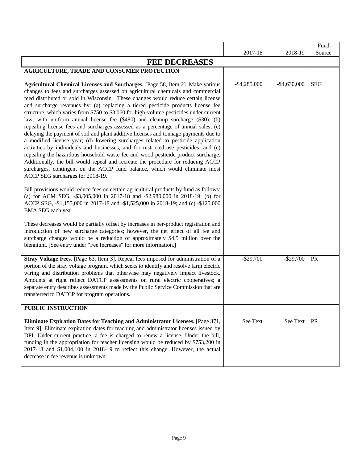|                                                                                                                                                                                                                                                                                                                                                                                                                                                                                                                                                                                                                                                                                                                                                                                                                                                                                                                                                                                                                                                                                                                                                                                 | 2017-18         | 2018-19       | Fund<br>Source |
|---------------------------------------------------------------------------------------------------------------------------------------------------------------------------------------------------------------------------------------------------------------------------------------------------------------------------------------------------------------------------------------------------------------------------------------------------------------------------------------------------------------------------------------------------------------------------------------------------------------------------------------------------------------------------------------------------------------------------------------------------------------------------------------------------------------------------------------------------------------------------------------------------------------------------------------------------------------------------------------------------------------------------------------------------------------------------------------------------------------------------------------------------------------------------------|-----------------|---------------|----------------|
| <b>FEE DECREASES</b>                                                                                                                                                                                                                                                                                                                                                                                                                                                                                                                                                                                                                                                                                                                                                                                                                                                                                                                                                                                                                                                                                                                                                            |                 |               |                |
| <b>AGRICULTURE, TRADE AND CONSUMER PROTECTION</b>                                                                                                                                                                                                                                                                                                                                                                                                                                                                                                                                                                                                                                                                                                                                                                                                                                                                                                                                                                                                                                                                                                                               |                 |               |                |
| Agricultural Chemical Licenses and Surcharges. [Page 58, Item 2]. Make various<br>changes to fees and surcharges assessed on agricultural chemicals and commercial<br>feed distributed or sold in Wisconsin. These changes would reduce certain license<br>and surcharge revenues by: (a) replacing a tiered pesticide products license fee<br>structure, which varies from \$750 to \$3,060 for high-volume pesticides under current<br>law, with uniform annual license fee (\$480) and cleanup surcharge (\$30); (b)<br>repealing license fees and surcharges assessed as a percentage of annual sales; (c)<br>delaying the payment of soil and plant additive licenses and tonnage payments due to<br>a modified license year; (d) lowering surcharges related to pesticide application<br>activities by individuals and businesses, and for restricted-use pesticides; and (e)<br>repealing the hazardous household waste fee and wood pesticide product surcharge.<br>Additionally, the bill would repeal and recreate the procedure for reducing ACCP<br>surcharges, contingent on the ACCP fund balance, which would eliminate most<br>ACCP SEG surcharges for 2018-19. | $-$ \$4,285,000 | $-$4,630,000$ | <b>SEG</b>     |
| Bill provisions would reduce fees on certain agricultural products by fund as follows:<br>(a) for ACM SEG, -\$3,005,000 in 2017-18 and -\$2,980,000 in 2018-19; (b) for<br>ACCP SEG, -\$1,155,000 in 2017-18 and -\$1,525,000 in 2018-19; and (c) -\$125,000<br>EMA SEG each year.                                                                                                                                                                                                                                                                                                                                                                                                                                                                                                                                                                                                                                                                                                                                                                                                                                                                                              |                 |               |                |
| These decreases would be partially offset by increases in per-product registration and<br>introduction of new surcharge categories; however, the net effect of all fee and<br>surcharge changes would be a reduction of approximately \$4.5 million over the<br>biennium. [See entry under "Fee Increases" for more information.]                                                                                                                                                                                                                                                                                                                                                                                                                                                                                                                                                                                                                                                                                                                                                                                                                                               |                 |               |                |
| Stray Voltage Fees. [Page 63, Item 3]. Repeal fees imposed for administration of a<br>portion of the stray voltage program, which seeks to identify and resolve farm electric<br>wiring and distribution problems that otherwise may negatively impact livestock.<br>Amounts at right reflect DATCP assessments on rural electric cooperatives; a<br>separate entry describes assessments made by the Public Service Commission that are<br>transferred to DATCP for program operations.                                                                                                                                                                                                                                                                                                                                                                                                                                                                                                                                                                                                                                                                                        | $-$29,700$      | $-$ \$29,700  | <b>PR</b>      |
| PUBLIC INSTRUCTION                                                                                                                                                                                                                                                                                                                                                                                                                                                                                                                                                                                                                                                                                                                                                                                                                                                                                                                                                                                                                                                                                                                                                              |                 |               |                |
| <b>Eliminate Expiration Dates for Teaching and Administrator Licenses.</b> [Page 371,<br>Item 9]. Eliminate expiration dates for teaching and administrator licenses issued by<br>DPI. Under current practice, a fee is charged to renew a license. Under the bill,<br>funding in the appropriation for teacher licensing would be reduced by \$753,200 in<br>2017-18 and \$1,004,100 in 2018-19 to reflect this change. However, the actual<br>decrease in fee revenue is unknown.                                                                                                                                                                                                                                                                                                                                                                                                                                                                                                                                                                                                                                                                                             | See Text        | See Text      | PR             |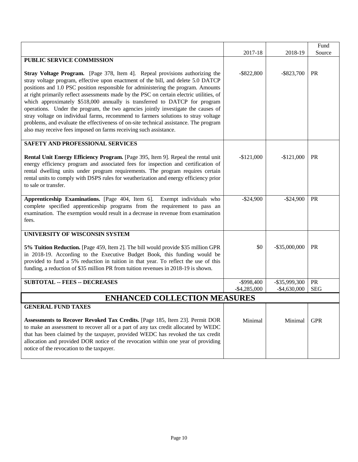|                                                                                                                                                                                                                                                                                                                                                                                                                                                                                                                                                                                                                                                                                                                                                                           |                 |                  | Fund       |
|---------------------------------------------------------------------------------------------------------------------------------------------------------------------------------------------------------------------------------------------------------------------------------------------------------------------------------------------------------------------------------------------------------------------------------------------------------------------------------------------------------------------------------------------------------------------------------------------------------------------------------------------------------------------------------------------------------------------------------------------------------------------------|-----------------|------------------|------------|
|                                                                                                                                                                                                                                                                                                                                                                                                                                                                                                                                                                                                                                                                                                                                                                           | 2017-18         | 2018-19          | Source     |
| PUBLIC SERVICE COMMISSION                                                                                                                                                                                                                                                                                                                                                                                                                                                                                                                                                                                                                                                                                                                                                 |                 |                  |            |
| Stray Voltage Program. [Page 378, Item 4]. Repeal provisions authorizing the<br>stray voltage program, effective upon enactment of the bill, and delete 5.0 DATCP<br>positions and 1.0 PSC position responsible for administering the program. Amounts<br>at right primarily reflect assessments made by the PSC on certain electric utilities, of<br>which approximately \$518,000 annually is transferred to DATCP for program<br>operations. Under the program, the two agencies jointly investigate the causes of<br>stray voltage on individual farms, recommend to farmers solutions to stray voltage<br>problems, and evaluate the effectiveness of on-site technical assistance. The program<br>also may receive fees imposed on farms receiving such assistance. | $-$ \$822,800   | $-$ \$823,700    | <b>PR</b>  |
| <b>SAFETY AND PROFESSIONAL SERVICES</b>                                                                                                                                                                                                                                                                                                                                                                                                                                                                                                                                                                                                                                                                                                                                   |                 |                  |            |
| Rental Unit Energy Efficiency Program. [Page 395, Item 9]. Repeal the rental unit<br>energy efficiency program and associated fees for inspection and certification of<br>rental dwelling units under program requirements. The program requires certain<br>rental units to comply with DSPS rules for weatherization and energy efficiency prior<br>to sale or transfer.                                                                                                                                                                                                                                                                                                                                                                                                 | $-$121,000$     | $-$121,000$      | <b>PR</b>  |
| Apprenticeship Examinations. [Page 404, Item 6]. Exempt individuals who<br>complete specified apprenticeship programs from the requirement to pass an<br>examination. The exemption would result in a decrease in revenue from examination<br>fees.                                                                                                                                                                                                                                                                                                                                                                                                                                                                                                                       | $-$24,900$      | $-$ \$24,900     | <b>PR</b>  |
| UNIVERSITY OF WISCONSIN SYSTEM                                                                                                                                                                                                                                                                                                                                                                                                                                                                                                                                                                                                                                                                                                                                            |                 |                  |            |
| 5% Tuition Reduction. [Page 459, Item 2]. The bill would provide \$35 million GPR<br>in 2018-19. According to the Executive Budget Book, this funding would be<br>provided to fund a 5% reduction in tuition in that year. To reflect the use of this<br>funding, a reduction of \$35 million PR from tuition revenues in 2018-19 is shown.                                                                                                                                                                                                                                                                                                                                                                                                                               | \$0             | $-$ \$35,000,000 | <b>PR</b>  |
| <b>SUBTOTAL -- FEES -- DECREASES</b>                                                                                                                                                                                                                                                                                                                                                                                                                                                                                                                                                                                                                                                                                                                                      | -\$998,400      | $-$ \$35,999,300 | PR         |
|                                                                                                                                                                                                                                                                                                                                                                                                                                                                                                                                                                                                                                                                                                                                                                           | $-$ \$4,285,000 | $-$4,630,000$    | <b>SEG</b> |
| <b>ENHANCED COLLECTION MEASURES</b>                                                                                                                                                                                                                                                                                                                                                                                                                                                                                                                                                                                                                                                                                                                                       |                 |                  |            |
| <b>GENERAL FUND TAXES</b>                                                                                                                                                                                                                                                                                                                                                                                                                                                                                                                                                                                                                                                                                                                                                 |                 |                  |            |
| Assessments to Recover Revoked Tax Credits. [Page 185, Item 23]. Permit DOR<br>to make an assessment to recover all or a part of any tax credit allocated by WEDC<br>that has been claimed by the taxpayer, provided WEDC has revoked the tax credit<br>allocation and provided DOR notice of the revocation within one year of providing<br>notice of the revocation to the taxpayer.                                                                                                                                                                                                                                                                                                                                                                                    | Minimal         | Minimal          | <b>GPR</b> |